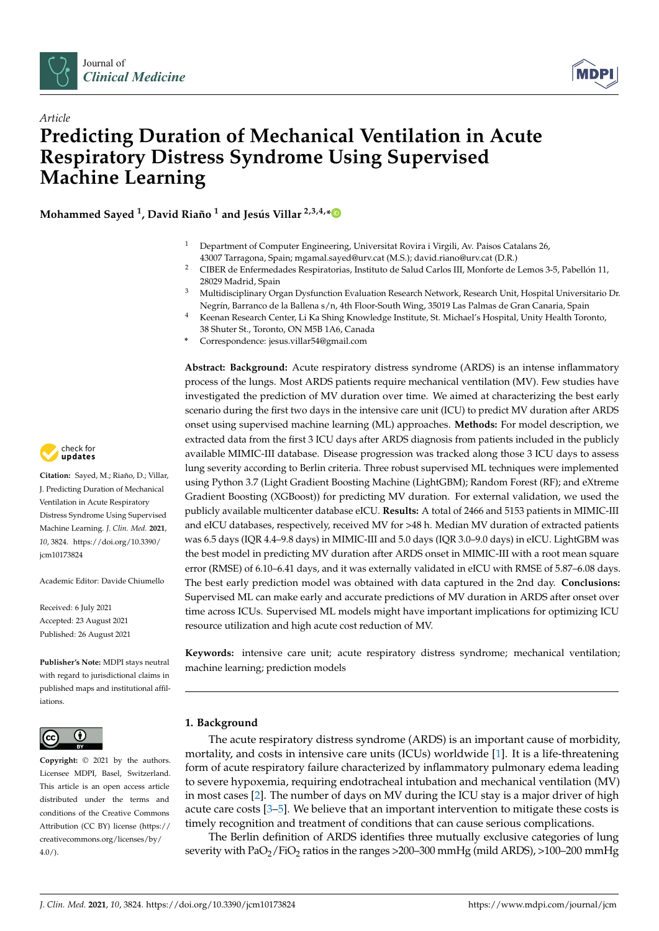



# *Article* **Predicting Duration of Mechanical Ventilation in Acute Respiratory Distress Syndrome Using Supervised Machine Learning**

**Mohammed Sayed <sup>1</sup> , David Riaño <sup>1</sup> and Jesús Villar 2,3,4,[\\*](https://orcid.org/0000-0001-5687-3562)**

- <sup>1</sup> Department of Computer Engineering, Universitat Rovira i Virgili, Av. Paisos Catalans 26, 43007 Tarragona, Spain; mgamal.sayed@urv.cat (M.S.); david.riano@urv.cat (D.R.)
- <sup>2</sup> CIBER de Enfermedades Respiratorias, Instituto de Salud Carlos III, Monforte de Lemos 3-5, Pabellón 11, 28029 Madrid, Spain
- <sup>3</sup> Multidisciplinary Organ Dysfunction Evaluation Research Network, Research Unit, Hospital Universitario Dr. Negrín, Barranco de la Ballena s/n, 4th Floor-South Wing, 35019 Las Palmas de Gran Canaria, Spain
	- <sup>4</sup> Keenan Research Center, Li Ka Shing Knowledge Institute, St. Michael's Hospital, Unity Health Toronto, 38 Shuter St., Toronto, ON M5B 1A6, Canada
- **\*** Correspondence: jesus.villar54@gmail.com

**Abstract: Background:** Acute respiratory distress syndrome (ARDS) is an intense inflammatory process of the lungs. Most ARDS patients require mechanical ventilation (MV). Few studies have investigated the prediction of MV duration over time. We aimed at characterizing the best early scenario during the first two days in the intensive care unit (ICU) to predict MV duration after ARDS onset using supervised machine learning (ML) approaches. **Methods:** For model description, we extracted data from the first 3 ICU days after ARDS diagnosis from patients included in the publicly available MIMIC-III database. Disease progression was tracked along those 3 ICU days to assess lung severity according to Berlin criteria. Three robust supervised ML techniques were implemented using Python 3.7 (Light Gradient Boosting Machine (LightGBM); Random Forest (RF); and eXtreme Gradient Boosting (XGBoost)) for predicting MV duration. For external validation, we used the publicly available multicenter database eICU. **Results:** A total of 2466 and 5153 patients in MIMIC-III and eICU databases, respectively, received MV for >48 h. Median MV duration of extracted patients was 6.5 days (IQR 4.4–9.8 days) in MIMIC-III and 5.0 days (IQR 3.0–9.0 days) in eICU. LightGBM was the best model in predicting MV duration after ARDS onset in MIMIC-III with a root mean square error (RMSE) of 6.10–6.41 days, and it was externally validated in eICU with RMSE of 5.87–6.08 days. The best early prediction model was obtained with data captured in the 2nd day. **Conclusions:** Supervised ML can make early and accurate predictions of MV duration in ARDS after onset over time across ICUs. Supervised ML models might have important implications for optimizing ICU resource utilization and high acute cost reduction of MV.

**Keywords:** intensive care unit; acute respiratory distress syndrome; mechanical ventilation; machine learning; prediction models

# **1. Background**

The acute respiratory distress syndrome (ARDS) is an important cause of morbidity, mortality, and costs in intensive care units (ICUs) worldwide [\[1\]](#page-6-0). It is a life-threatening form of acute respiratory failure characterized by inflammatory pulmonary edema leading to severe hypoxemia, requiring endotracheal intubation and mechanical ventilation (MV) in most cases [\[2\]](#page-6-1). The number of days on MV during the ICU stay is a major driver of high acute care costs [\[3](#page-6-2)[–5\]](#page-6-3). We believe that an important intervention to mitigate these costs is timely recognition and treatment of conditions that can cause serious complications.

The Berlin definition of ARDS identifies three mutually exclusive categories of lung severity with  $PaO<sub>2</sub>/FiO<sub>2</sub>$  ratios in the ranges >200–300 mmHg (mild ARDS), >100–200 mmHg



**Citation:** Sayed, M.; Riaño, D.; Villar, J. Predicting Duration of Mechanical Ventilation in Acute Respiratory Distress Syndrome Using Supervised Machine Learning. *J. Clin. Med.* **2021**, *10*, 3824. [https://doi.org/10.3390/](https://doi.org/10.3390/jcm10173824) [jcm10173824](https://doi.org/10.3390/jcm10173824)

Academic Editor: Davide Chiumello

Received: 6 July 2021 Accepted: 23 August 2021 Published: 26 August 2021

**Publisher's Note:** MDPI stays neutral with regard to jurisdictional claims in published maps and institutional affiliations.



**Copyright:** © 2021 by the authors. Licensee MDPI, Basel, Switzerland. This article is an open access article distributed under the terms and conditions of the Creative Commons Attribution (CC BY) license (https:/[/](https://creativecommons.org/licenses/by/4.0/) [creativecommons.org/licenses/by/](https://creativecommons.org/licenses/by/4.0/) 4.0/).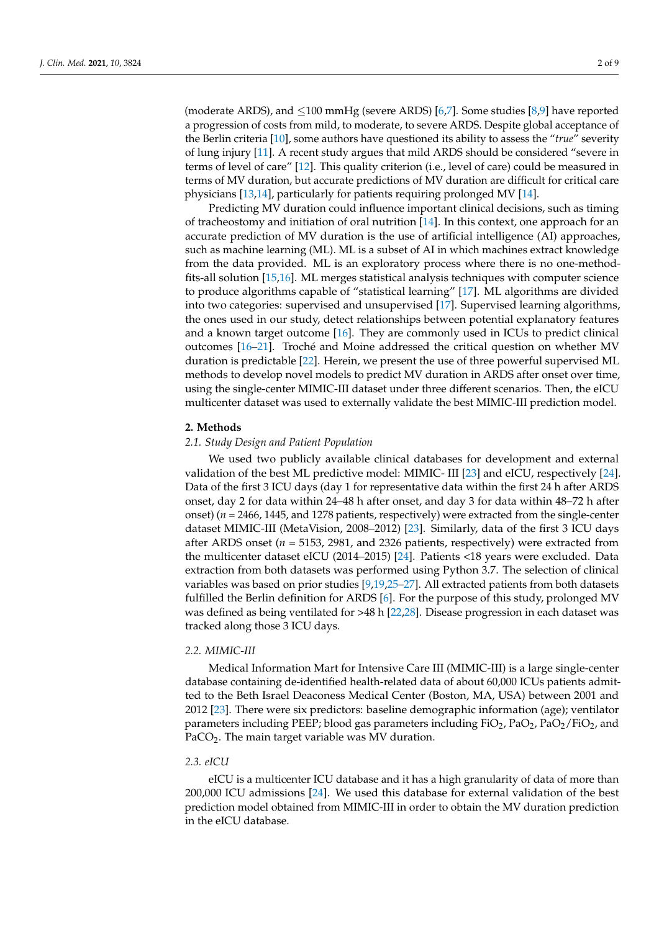(moderate ARDS), and ≤100 mmHg (severe ARDS) [\[6,](#page-6-4)[7\]](#page-7-0). Some studies [\[8](#page-7-1)[,9\]](#page-7-2) have reported a progression of costs from mild, to moderate, to severe ARDS. Despite global acceptance of the Berlin criteria [\[10\]](#page-7-3), some authors have questioned its ability to assess the "*true*" severity of lung injury [\[11\]](#page-7-4). A recent study argues that mild ARDS should be considered "severe in terms of level of care" [\[12\]](#page-7-5). This quality criterion (i.e., level of care) could be measured in terms of MV duration, but accurate predictions of MV duration are difficult for critical care physicians [\[13,](#page-7-6)[14\]](#page-7-7), particularly for patients requiring prolonged MV [\[14\]](#page-7-7).

Predicting MV duration could influence important clinical decisions, such as timing of tracheostomy and initiation of oral nutrition [\[14\]](#page-7-7). In this context, one approach for an accurate prediction of MV duration is the use of artificial intelligence (AI) approaches, such as machine learning (ML). ML is a subset of AI in which machines extract knowledge from the data provided. ML is an exploratory process where there is no one-methodfits-all solution [\[15,](#page-7-8)[16\]](#page-7-9). ML merges statistical analysis techniques with computer science to produce algorithms capable of "statistical learning" [\[17\]](#page-7-10). ML algorithms are divided into two categories: supervised and unsupervised [\[17\]](#page-7-10). Supervised learning algorithms, the ones used in our study, detect relationships between potential explanatory features and a known target outcome [\[16\]](#page-7-9). They are commonly used in ICUs to predict clinical outcomes [\[16–](#page-7-9)[21\]](#page-7-11). Troché and Moine addressed the critical question on whether MV duration is predictable [\[22\]](#page-7-12). Herein, we present the use of three powerful supervised ML methods to develop novel models to predict MV duration in ARDS after onset over time, using the single-center MIMIC-III dataset under three different scenarios. Then, the eICU multicenter dataset was used to externally validate the best MIMIC-III prediction model.

# **2. Methods**

## *2.1. Study Design and Patient Population*

We used two publicly available clinical databases for development and external validation of the best ML predictive model: MIMIC- III [\[23\]](#page-7-13) and eICU, respectively [\[24\]](#page-7-14). Data of the first 3 ICU days (day 1 for representative data within the first 24 h after ARDS onset, day 2 for data within 24–48 h after onset, and day 3 for data within 48–72 h after onset) (*n* = 2466, 1445, and 1278 patients, respectively) were extracted from the single-center dataset MIMIC-III (MetaVision, 2008–2012) [\[23\]](#page-7-13). Similarly, data of the first 3 ICU days after ARDS onset (*n* = 5153, 2981, and 2326 patients, respectively) were extracted from the multicenter dataset eICU (2014–2015) [\[24\]](#page-7-14). Patients <18 years were excluded. Data extraction from both datasets was performed using Python 3.7. The selection of clinical variables was based on prior studies [\[9,](#page-7-2)[19,](#page-7-15)[25–](#page-7-16)[27\]](#page-7-17). All extracted patients from both datasets fulfilled the Berlin definition for ARDS [\[6\]](#page-6-4). For the purpose of this study, prolonged MV was defined as being ventilated for >48 h [\[22](#page-7-12)[,28\]](#page-7-18). Disease progression in each dataset was tracked along those 3 ICU days.

## *2.2. MIMIC-III*

Medical Information Mart for Intensive Care III (MIMIC-III) is a large single-center database containing de-identified health-related data of about 60,000 ICUs patients admitted to the Beth Israel Deaconess Medical Center (Boston, MA, USA) between 2001 and 2012 [\[23\]](#page-7-13). There were six predictors: baseline demographic information (age); ventilator parameters including PEEP; blood gas parameters including  $FiO_2$ ,  $PaO_2$ ,  $PaO_2$ / $FiO_2$ , and PaCO<sub>2</sub>. The main target variable was MV duration.

#### *2.3. eICU*

eICU is a multicenter ICU database and it has a high granularity of data of more than 200,000 ICU admissions [\[24\]](#page-7-14). We used this database for external validation of the best prediction model obtained from MIMIC-III in order to obtain the MV duration prediction in the eICU database.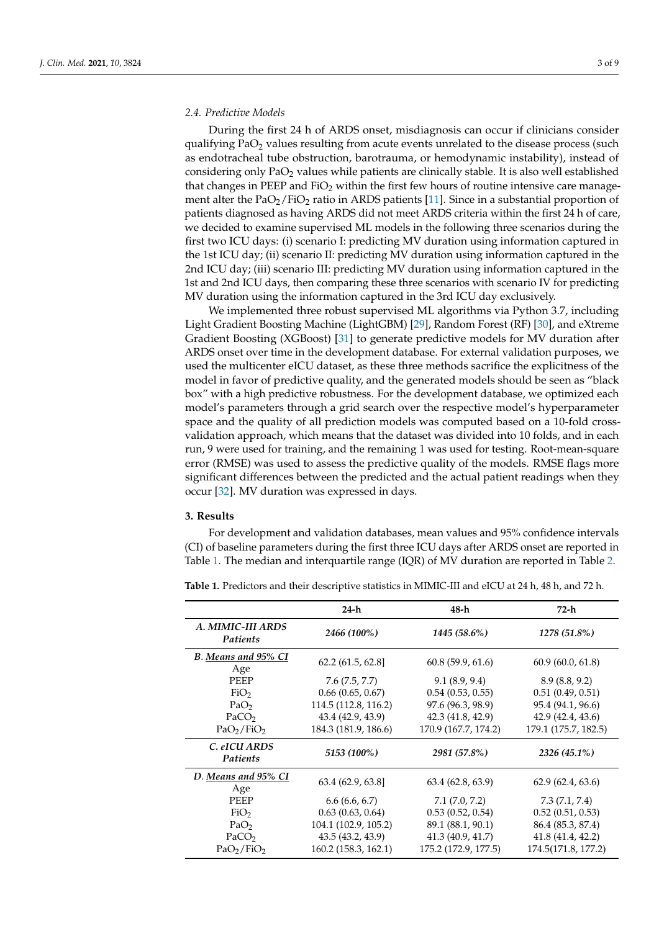## *2.4. Predictive Models*

During the first 24 h of ARDS onset, misdiagnosis can occur if clinicians consider qualifying  $PaO<sub>2</sub>$  values resulting from acute events unrelated to the disease process (such as endotracheal tube obstruction, barotrauma, or hemodynamic instability), instead of considering only PaO<sup>2</sup> values while patients are clinically stable. It is also well established that changes in PEEP and  $FiO<sub>2</sub>$  within the first few hours of routine intensive care management alter the  $PaO<sub>2</sub>/FiO<sub>2</sub>$  ratio in ARDS patients [\[11\]](#page-7-4). Since in a substantial proportion of patients diagnosed as having ARDS did not meet ARDS criteria within the first 24 h of care, we decided to examine supervised ML models in the following three scenarios during the first two ICU days: (i) scenario I: predicting MV duration using information captured in the 1st ICU day; (ii) scenario II: predicting MV duration using information captured in the 2nd ICU day; (iii) scenario III: predicting MV duration using information captured in the 1st and 2nd ICU days, then comparing these three scenarios with scenario IV for predicting MV duration using the information captured in the 3rd ICU day exclusively.

We implemented three robust supervised ML algorithms via Python 3.7, including Light Gradient Boosting Machine (LightGBM) [\[29\]](#page-7-19), Random Forest (RF) [\[30\]](#page-7-20), and eXtreme Gradient Boosting (XGBoost) [\[31\]](#page-7-21) to generate predictive models for MV duration after ARDS onset over time in the development database. For external validation purposes, we used the multicenter eICU dataset, as these three methods sacrifice the explicitness of the model in favor of predictive quality, and the generated models should be seen as "black box" with a high predictive robustness. For the development database, we optimized each model's parameters through a grid search over the respective model's hyperparameter space and the quality of all prediction models was computed based on a 10-fold crossvalidation approach, which means that the dataset was divided into 10 folds, and in each run, 9 were used for training, and the remaining 1 was used for testing. Root-mean-square error (RMSE) was used to assess the predictive quality of the models. RMSE flags more significant differences between the predicted and the actual patient readings when they occur [\[32\]](#page-8-0). MV duration was expressed in days.

#### **3. Results**

For development and validation databases, mean values and 95% confidence intervals (CI) of baseline parameters during the first three ICU days after ARDS onset are reported in Table [1.](#page-2-0) The median and interquartile range (IQR) of MV duration are reported in Table [2.](#page-3-0)

|                                    | $24-h$               | 48-h                  | 72-h                 |
|------------------------------------|----------------------|-----------------------|----------------------|
| A. MIMIC-III ARDS<br>Patients      | 2466 (100%)          | 1445 (58.6%)          | 1278 (51.8%)         |
| B. Means and 95% CI<br>Age         | 62.2(61.5, 62.8)     | 60.8(59.9, 61.6)      | 60.9(60.0, 61.8)     |
| <b>PEEP</b>                        | 7.6(7.5, 7.7)        | 9.1(8.9, 9.4)         | 8.9(8.8, 9.2)        |
| FiO <sub>2</sub>                   | $0.66$ (0.65, 0.67)  | $0.54$ $(0.53, 0.55)$ | 0.51(0.49, 0.51)     |
| PaO <sub>2</sub>                   | 114.5 (112.8, 116.2) | 97.6 (96.3, 98.9)     | 95.4 (94.1, 96.6)    |
| PaCO <sub>2</sub>                  | 43.4 (42.9, 43.9)    | 42.3(41.8, 42.9)      | 42.9(42.4, 43.6)     |
| PaO <sub>2</sub> /FiO <sub>2</sub> | 184.3 (181.9, 186.6) | 170.9 (167.7, 174.2)  | 179.1 (175.7, 182.5) |
| C. eICU ARDS<br><b>Patients</b>    | 5153 (100%)          | 2981 (57.8%)          | 2326 (45.1%)         |
| D. Means and 95% CI<br>Age         | 63.4 (62.9, 63.8]    | 63.4(62.8, 63.9)      | 62.9(62.4, 63.6)     |
| <b>PEEP</b>                        | 6.6(6.6, 6.7)        | 7.1(7.0, 7.2)         | 7.3(7.1, 7.4)        |
| FiO <sub>2</sub>                   | 0.63(0.63, 0.64)     | 0.53(0.52, 0.54)      | 0.52(0.51, 0.53)     |
| PaO <sub>2</sub>                   | 104.1 (102.9, 105.2) | 89.1 (88.1, 90.1)     | 86.4 (85.3, 87.4)    |
| PaCO <sub>2</sub>                  | 43.5 (43.2, 43.9)    | 41.3(40.9, 41.7)      | 41.8 (41.4, 42.2)    |
| PaO <sub>2</sub> /FiO <sub>2</sub> | 160.2 (158.3, 162.1) | 175.2 (172.9, 177.5)  | 174.5(171.8, 177.2)  |

<span id="page-2-0"></span>**Table 1.** Predictors and their descriptive statistics in MIMIC-III and eICU at 24 h, 48 h, and 72 h.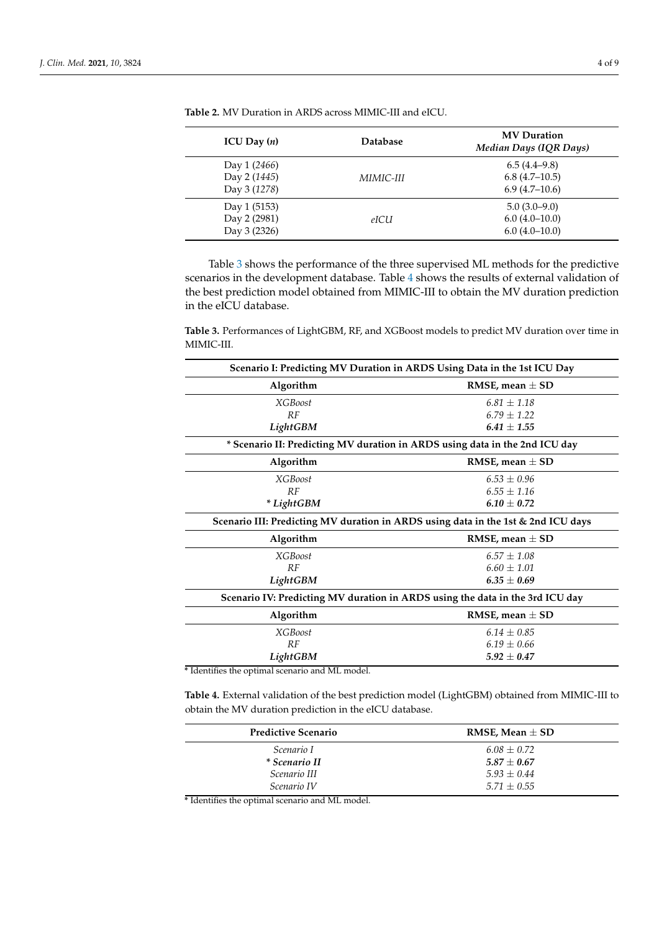| ICU Day $(n)$                                | <b>Database</b> | <b>MV</b> Duration<br>Median Days (IQR Days)         |
|----------------------------------------------|-----------------|------------------------------------------------------|
| Day 1 (2466)<br>Day 2 (1445)<br>Day 3 (1278) | MIMIC-III       | $6.5(4.4-9.8)$<br>$6.8(4.7-10.5)$<br>$6.9(4.7-10.6)$ |
| Day 1 (5153)<br>Day 2 (2981)<br>Day 3 (2326) | eICU            | $5.0(3.0-9.0)$<br>$6.0(4.0-10.0)$<br>$6.0(4.0-10.0)$ |

<span id="page-3-0"></span>**Table 2.** MV Duration in ARDS across MIMIC-III and eICU.

Table [3](#page-3-1) shows the performance of the three supervised ML methods for the predictive scenarios in the development database. Table [4](#page-3-2) shows the results of external validation of the best prediction model obtained from MIMIC-III to obtain the MV duration prediction in the eICU database.

<span id="page-3-1"></span>**Table 3.** Performances of LightGBM, RF, and XGBoost models to predict MV duration over time in MIMIC-III.

| Scenario I: Predicting MV Duration in ARDS Using Data in the 1st ICU Day          |  |  |  |  |
|-----------------------------------------------------------------------------------|--|--|--|--|
| RMSE, mean $\pm$ SD                                                               |  |  |  |  |
| $6.81 \pm 1.18$                                                                   |  |  |  |  |
| $6.79 + 1.22$                                                                     |  |  |  |  |
| $6.41 + 1.55$                                                                     |  |  |  |  |
| * Scenario II: Predicting MV duration in ARDS using data in the 2nd ICU day       |  |  |  |  |
| RMSE, mean $\pm$ SD                                                               |  |  |  |  |
| $6.53 + 0.96$                                                                     |  |  |  |  |
| $6.55 \pm 1.16$                                                                   |  |  |  |  |
| $6.10 + 0.72$                                                                     |  |  |  |  |
| Scenario III: Predicting MV duration in ARDS using data in the 1st & 2nd ICU days |  |  |  |  |
| RMSE, mean $\pm$ SD                                                               |  |  |  |  |
| $6.57 + 1.08$                                                                     |  |  |  |  |
| $6.60 + 1.01$                                                                     |  |  |  |  |
| $6.35 \pm 0.69$                                                                   |  |  |  |  |
| Scenario IV: Predicting MV duration in ARDS using the data in the 3rd ICU day     |  |  |  |  |
| RMSE, mean $\pm$ SD                                                               |  |  |  |  |
| $6.14 + 0.85$                                                                     |  |  |  |  |
| $6.19 + 0.66$                                                                     |  |  |  |  |
| $5.92 \pm 0.47$                                                                   |  |  |  |  |
|                                                                                   |  |  |  |  |

**\*** Identifies the optimal scenario and ML model.

<span id="page-3-2"></span>**Table 4.** External validation of the best prediction model (LightGBM) obtained from MIMIC-III to obtain the MV duration prediction in the eICU database.

| <b>Predictive Scenario</b> | RMSE, Mean $\pm$ SD |
|----------------------------|---------------------|
| Scenario I                 | $6.08 + 0.72$       |
| <i>* Scenario II</i>       | $5.87 \pm 0.67$     |
| Scenario III               | $5.93 + 0.44$       |
| Scenario IV                | $5.71 + 0.55$       |

**\*** Identifies the optimal scenario and ML model.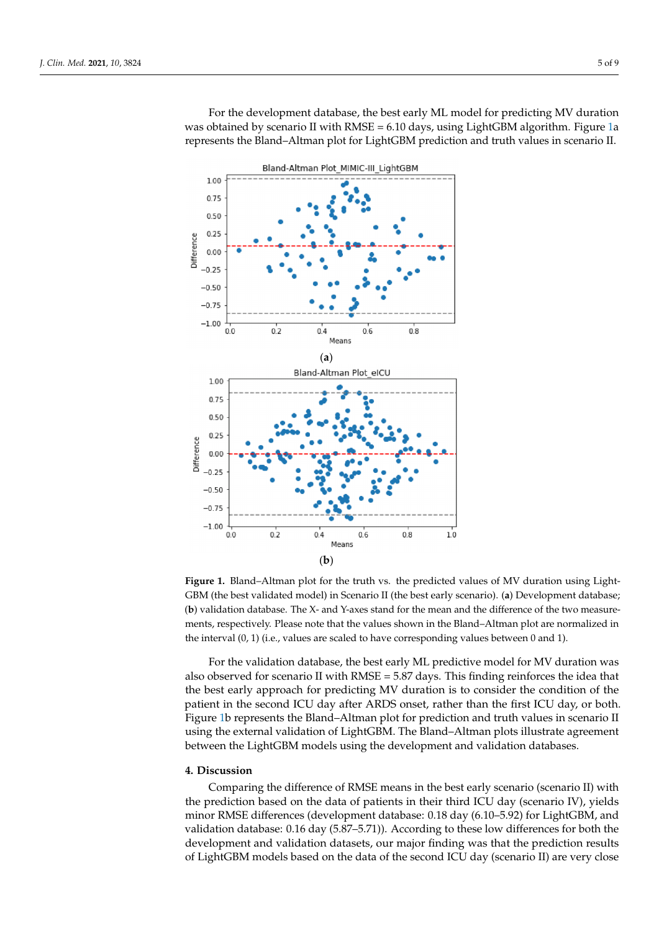For the development database, the best early ML model for predicting MV duration was obtained by scenario II with RMSE = 6.10 days, using LightGBM algorithm. Figure [1a](#page-4-0) represents the Bland-Altman plot for LightGBM prediction and truth values in scenario II.

<span id="page-4-0"></span>

**Figure 1.** Bland–Altman plot for the truth vs. the predicted values of MV duration using Light-GBM (the best validated model) in Scenario II (the best early scenario). (a) Development database; (**b**) validation database. The X- and Y-axes stand for the mean and the difference of the two measurements, respectively. Please note that the values shown in the Bland–Altman plot are normalized in the interval (0, 1) (i.e., values are scaled to have corresponding values between 0 and 1).

For the validation database, the best early ML predictive model for MV duration was also observed for scenario II with  $RMSE = 5.87$  days. This finding reinforces the idea that the best early approach for predicting MV duration is to consider the condition of the patient in the second ICU day after ARDS onset, rather than the first ICU day, or both. Figure [1b](#page-4-0) represents the Bland–Altman plot for prediction and truth values in scenario II using the external validation of LightGBM. The Bland–Altman plots illustrate agreement between the LightGBM models using the development and validation databases.

## **4. Discussion**

Comparing the difference of RMSE means in the best early scenario (scenario II) with the prediction based on the data of patients in their third ICU day (scenario IV), yields minor RMSE differences (development database: 0.18 day (6.10–5.92) for LightGBM, and validation database: 0.16 day (5.87–5.71)). According to these low differences for both the development and validation datasets, our major finding was that the prediction results of LightGBM models based on the data of the second ICU day (scenario II) are very close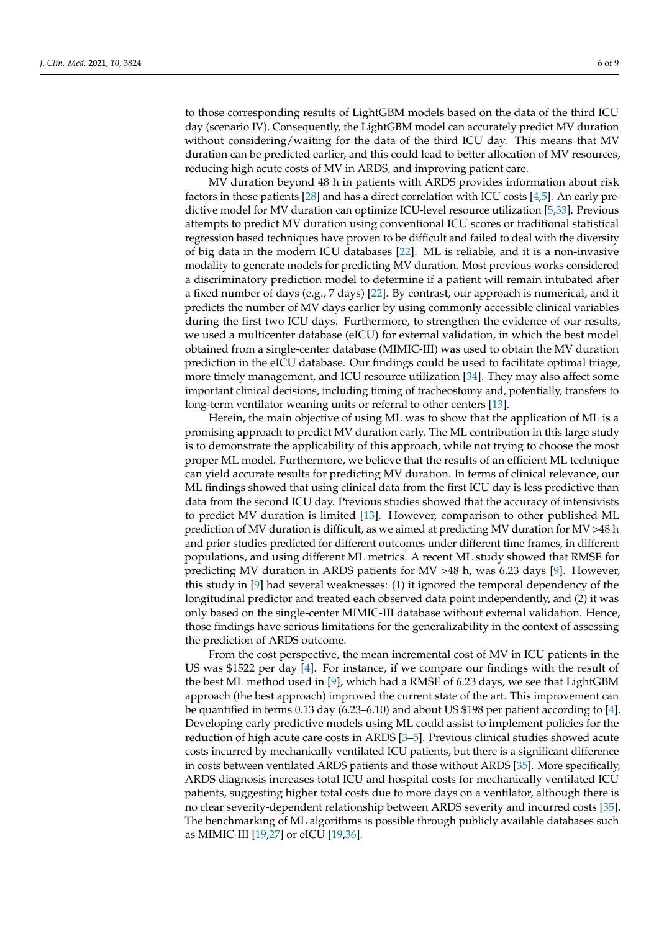to those corresponding results of LightGBM models based on the data of the third ICU day (scenario IV). Consequently, the LightGBM model can accurately predict MV duration without considering/waiting for the data of the third ICU day. This means that MV duration can be predicted earlier, and this could lead to better allocation of MV resources, reducing high acute costs of MV in ARDS, and improving patient care.

MV duration beyond 48 h in patients with ARDS provides information about risk factors in those patients [\[28\]](#page-7-18) and has a direct correlation with ICU costs [\[4](#page-6-5)[,5\]](#page-6-3). An early predictive model for MV duration can optimize ICU-level resource utilization [\[5](#page-6-3)[,33\]](#page-8-1). Previous attempts to predict MV duration using conventional ICU scores or traditional statistical regression based techniques have proven to be difficult and failed to deal with the diversity of big data in the modern ICU databases [\[22\]](#page-7-12). ML is reliable, and it is a non-invasive modality to generate models for predicting MV duration. Most previous works considered a discriminatory prediction model to determine if a patient will remain intubated after a fixed number of days (e.g., 7 days) [\[22\]](#page-7-12). By contrast, our approach is numerical, and it predicts the number of MV days earlier by using commonly accessible clinical variables during the first two ICU days. Furthermore, to strengthen the evidence of our results, we used a multicenter database (eICU) for external validation, in which the best model obtained from a single-center database (MIMIC-III) was used to obtain the MV duration prediction in the eICU database. Our findings could be used to facilitate optimal triage, more timely management, and ICU resource utilization [\[34\]](#page-8-2). They may also affect some important clinical decisions, including timing of tracheostomy and, potentially, transfers to long-term ventilator weaning units or referral to other centers [\[13\]](#page-7-6).

Herein, the main objective of using ML was to show that the application of ML is a promising approach to predict MV duration early. The ML contribution in this large study is to demonstrate the applicability of this approach, while not trying to choose the most proper ML model. Furthermore, we believe that the results of an efficient ML technique can yield accurate results for predicting MV duration. In terms of clinical relevance, our ML findings showed that using clinical data from the first ICU day is less predictive than data from the second ICU day. Previous studies showed that the accuracy of intensivists to predict MV duration is limited [\[13\]](#page-7-6). However, comparison to other published ML prediction of MV duration is difficult, as we aimed at predicting MV duration for MV >48 h and prior studies predicted for different outcomes under different time frames, in different populations, and using different ML metrics. A recent ML study showed that RMSE for predicting MV duration in ARDS patients for MV >48 h, was 6.23 days [\[9\]](#page-7-2). However, this study in [\[9\]](#page-7-2) had several weaknesses: (1) it ignored the temporal dependency of the longitudinal predictor and treated each observed data point independently, and (2) it was only based on the single-center MIMIC-III database without external validation. Hence, those findings have serious limitations for the generalizability in the context of assessing the prediction of ARDS outcome.

From the cost perspective, the mean incremental cost of MV in ICU patients in the US was \$1522 per day [\[4\]](#page-6-5). For instance, if we compare our findings with the result of the best ML method used in [\[9\]](#page-7-2), which had a RMSE of 6.23 days, we see that LightGBM approach (the best approach) improved the current state of the art. This improvement can be quantified in terms 0.13 day (6.23–6.10) and about US \$198 per patient according to [\[4\]](#page-6-5). Developing early predictive models using ML could assist to implement policies for the reduction of high acute care costs in ARDS [\[3](#page-6-2)[–5\]](#page-6-3). Previous clinical studies showed acute costs incurred by mechanically ventilated ICU patients, but there is a significant difference in costs between ventilated ARDS patients and those without ARDS [\[35\]](#page-8-3). More specifically, ARDS diagnosis increases total ICU and hospital costs for mechanically ventilated ICU patients, suggesting higher total costs due to more days on a ventilator, although there is no clear severity-dependent relationship between ARDS severity and incurred costs [\[35\]](#page-8-3). The benchmarking of ML algorithms is possible through publicly available databases such as MIMIC-III [\[19,](#page-7-15)[27\]](#page-7-17) or eICU [\[19,](#page-7-15)[36\]](#page-8-4).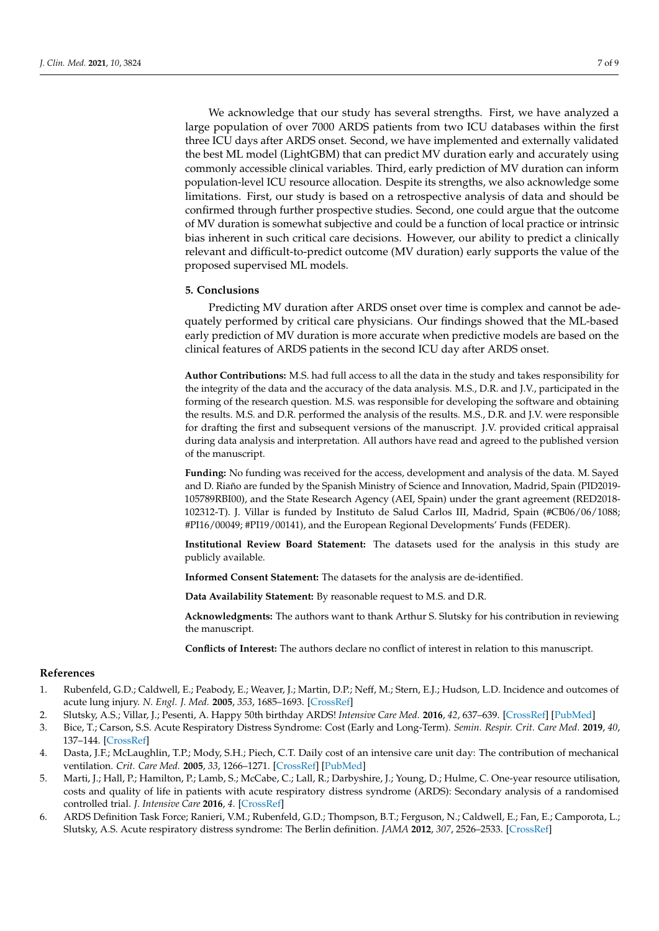We acknowledge that our study has several strengths. First, we have analyzed a large population of over 7000 ARDS patients from two ICU databases within the first three ICU days after ARDS onset. Second, we have implemented and externally validated the best ML model (LightGBM) that can predict MV duration early and accurately using commonly accessible clinical variables. Third, early prediction of MV duration can inform population-level ICU resource allocation. Despite its strengths, we also acknowledge some limitations. First, our study is based on a retrospective analysis of data and should be confirmed through further prospective studies. Second, one could argue that the outcome of MV duration is somewhat subjective and could be a function of local practice or intrinsic bias inherent in such critical care decisions. However, our ability to predict a clinically relevant and difficult-to-predict outcome (MV duration) early supports the value of the proposed supervised ML models.

#### **5. Conclusions**

Predicting MV duration after ARDS onset over time is complex and cannot be adequately performed by critical care physicians. Our findings showed that the ML-based early prediction of MV duration is more accurate when predictive models are based on the clinical features of ARDS patients in the second ICU day after ARDS onset.

**Author Contributions:** M.S. had full access to all the data in the study and takes responsibility for the integrity of the data and the accuracy of the data analysis. M.S., D.R. and J.V., participated in the forming of the research question. M.S. was responsible for developing the software and obtaining the results. M.S. and D.R. performed the analysis of the results. M.S., D.R. and J.V. were responsible for drafting the first and subsequent versions of the manuscript. J.V. provided critical appraisal during data analysis and interpretation. All authors have read and agreed to the published version of the manuscript.

**Funding:** No funding was received for the access, development and analysis of the data. M. Sayed and D. Riaño are funded by the Spanish Ministry of Science and Innovation, Madrid, Spain (PID2019- 105789RBI00), and the State Research Agency (AEI, Spain) under the grant agreement (RED2018- 102312-T). J. Villar is funded by Instituto de Salud Carlos III, Madrid, Spain (#CB06/06/1088; #PI16/00049; #PI19/00141), and the European Regional Developments' Funds (FEDER).

**Institutional Review Board Statement:** The datasets used for the analysis in this study are publicly available.

**Informed Consent Statement:** The datasets for the analysis are de-identified.

**Data Availability Statement:** By reasonable request to M.S. and D.R.

**Acknowledgments:** The authors want to thank Arthur S. Slutsky for his contribution in reviewing the manuscript.

**Conflicts of Interest:** The authors declare no conflict of interest in relation to this manuscript.

## **References**

- <span id="page-6-0"></span>1. Rubenfeld, G.D.; Caldwell, E.; Peabody, E.; Weaver, J.; Martin, D.P.; Neff, M.; Stern, E.J.; Hudson, L.D. Incidence and outcomes of acute lung injury. *N. Engl. J. Med.* **2005**, *353*, 1685–1693. [\[CrossRef\]](http://doi.org/10.1056/NEJMoa050333)
- <span id="page-6-1"></span>2. Slutsky, A.S.; Villar, J.; Pesenti, A. Happy 50th birthday ARDS! *Intensive Care Med.* **2016**, *42*, 637–639. [\[CrossRef\]](http://doi.org/10.1007/s00134-016-4284-9) [\[PubMed\]](http://www.ncbi.nlm.nih.gov/pubmed/26972902)
- <span id="page-6-2"></span>3. Bice, T.; Carson, S.S. Acute Respiratory Distress Syndrome: Cost (Early and Long-Term). *Semin. Respir. Crit. Care Med.* **2019**, *40*, 137–144. [\[CrossRef\]](http://doi.org/10.1055/s-0039-1685463)
- <span id="page-6-5"></span>4. Dasta, J.F.; McLaughlin, T.P.; Mody, S.H.; Piech, C.T. Daily cost of an intensive care unit day: The contribution of mechanical ventilation. *Crit. Care Med.* **2005**, *33*, 1266–1271. [\[CrossRef\]](http://doi.org/10.1097/01.CCM.0000164543.14619.00) [\[PubMed\]](http://www.ncbi.nlm.nih.gov/pubmed/15942342)
- <span id="page-6-3"></span>5. Marti, J.; Hall, P.; Hamilton, P.; Lamb, S.; McCabe, C.; Lall, R.; Darbyshire, J.; Young, D.; Hulme, C. One-year resource utilisation, costs and quality of life in patients with acute respiratory distress syndrome (ARDS): Secondary analysis of a randomised controlled trial. *J. Intensive Care* **2016**, *4*. [\[CrossRef\]](http://doi.org/10.1186/s40560-016-0178-8)
- <span id="page-6-4"></span>6. ARDS Definition Task Force; Ranieri, V.M.; Rubenfeld, G.D.; Thompson, B.T.; Ferguson, N.; Caldwell, E.; Fan, E.; Camporota, L.; Slutsky, A.S. Acute respiratory distress syndrome: The Berlin definition. *JAMA* **2012**, *307*, 2526–2533. [\[CrossRef\]](http://doi.org/10.1001/jama.2012.5669)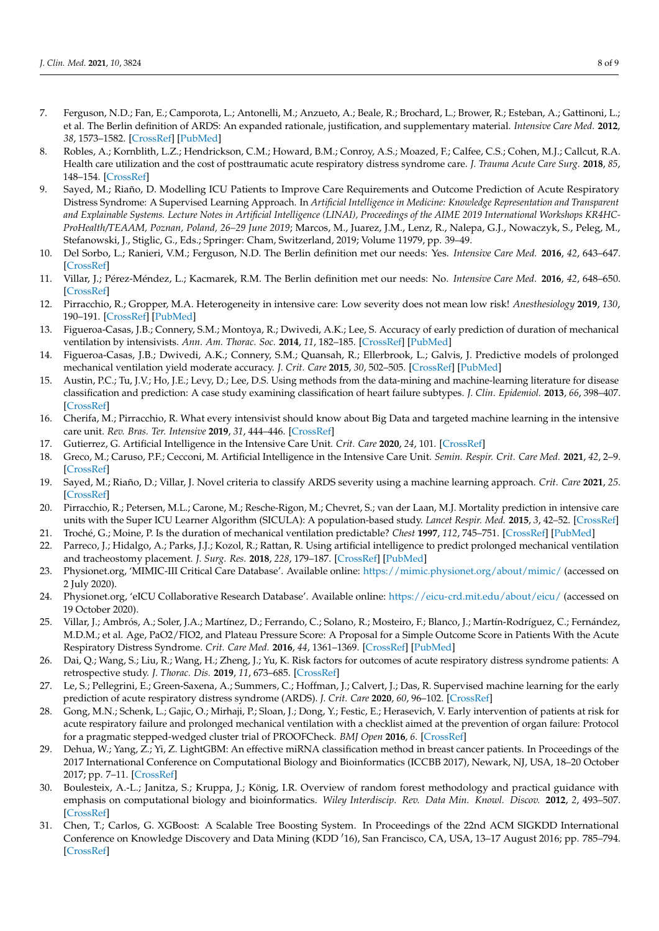- <span id="page-7-0"></span>7. Ferguson, N.D.; Fan, E.; Camporota, L.; Antonelli, M.; Anzueto, A.; Beale, R.; Brochard, L.; Brower, R.; Esteban, A.; Gattinoni, L.; et al. The Berlin definition of ARDS: An expanded rationale, justification, and supplementary material. *Intensive Care Med.* **2012**, *38*, 1573–1582. [\[CrossRef\]](http://doi.org/10.1007/s00134-012-2682-1) [\[PubMed\]](http://www.ncbi.nlm.nih.gov/pubmed/22926653)
- <span id="page-7-1"></span>8. Robles, A.; Kornblith, L.Z.; Hendrickson, C.M.; Howard, B.M.; Conroy, A.S.; Moazed, F.; Calfee, C.S.; Cohen, M.J.; Callcut, R.A. Health care utilization and the cost of posttraumatic acute respiratory distress syndrome care. *J. Trauma Acute Care Surg.* **2018**, *85*, 148–154. [\[CrossRef\]](http://doi.org/10.1097/TA.0000000000001926)
- <span id="page-7-2"></span>9. Sayed, M.; Riaño, D. Modelling ICU Patients to Improve Care Requirements and Outcome Prediction of Acute Respiratory Distress Syndrome: A Supervised Learning Approach. In *Artificial Intelligence in Medicine: Knowledge Representation and Transparent and Explainable Systems. Lecture Notes in Artificial Intelligence (LINAI), Proceedings of the AIME 2019 International Workshops KR4HC-ProHealth/TEAAM, Poznan, Poland, 26–29 June 2019*; Marcos, M., Juarez, J.M., Lenz, R., Nalepa, G.J., Nowaczyk, S., Peleg, M., Stefanowski, J., Stiglic, G., Eds.; Springer: Cham, Switzerland, 2019; Volume 11979, pp. 39–49.
- <span id="page-7-3"></span>10. Del Sorbo, L.; Ranieri, V.M.; Ferguson, N.D. The Berlin definition met our needs: Yes. *Intensive Care Med.* **2016**, *42*, 643–647. [\[CrossRef\]](http://doi.org/10.1007/s00134-016-4286-7)
- <span id="page-7-4"></span>11. Villar, J.; Pérez-Méndez, L.; Kacmarek, R.M. The Berlin definition met our needs: No. *Intensive Care Med.* **2016**, *42*, 648–650. [\[CrossRef\]](http://doi.org/10.1007/s00134-016-4242-6)
- <span id="page-7-5"></span>12. Pirracchio, R.; Gropper, M.A. Heterogeneity in intensive care: Low severity does not mean low risk! *Anesthesiology* **2019**, *130*, 190–191. [\[CrossRef\]](http://doi.org/10.1097/ALN.0000000000002537) [\[PubMed\]](http://www.ncbi.nlm.nih.gov/pubmed/30585787)
- <span id="page-7-6"></span>13. Figueroa-Casas, J.B.; Connery, S.M.; Montoya, R.; Dwivedi, A.K.; Lee, S. Accuracy of early prediction of duration of mechanical ventilation by intensivists. *Ann. Am. Thorac. Soc.* **2014**, *11*, 182–185. [\[CrossRef\]](http://doi.org/10.1513/AnnalsATS.201307-222OC) [\[PubMed\]](http://www.ncbi.nlm.nih.gov/pubmed/24069941)
- <span id="page-7-7"></span>14. Figueroa-Casas, J.B.; Dwivedi, A.K.; Connery, S.M.; Quansah, R.; Ellerbrook, L.; Galvis, J. Predictive models of prolonged mechanical ventilation yield moderate accuracy. *J. Crit. Care* **2015**, *30*, 502–505. [\[CrossRef\]](http://doi.org/10.1016/j.jcrc.2015.01.020) [\[PubMed\]](http://www.ncbi.nlm.nih.gov/pubmed/25682346)
- <span id="page-7-8"></span>15. Austin, P.C.; Tu, J.V.; Ho, J.E.; Levy, D.; Lee, D.S. Using methods from the data-mining and machine-learning literature for disease classification and prediction: A case study examining classification of heart failure subtypes. *J. Clin. Epidemiol.* **2013**, *66*, 398–407. [\[CrossRef\]](http://doi.org/10.1016/j.jclinepi.2012.11.008)
- <span id="page-7-9"></span>16. Cherifa, M.; Pirracchio, R. What every intensivist should know about Big Data and targeted machine learning in the intensive care unit. *Rev. Bras. Ter. Intensive* **2019**, *31*, 444–446. [\[CrossRef\]](http://doi.org/10.5935/0103-507X.20190069)
- <span id="page-7-10"></span>17. Gutierrez, G. Artificial Intelligence in the Intensive Care Unit. *Crit. Care* **2020**, *24*, 101. [\[CrossRef\]](http://doi.org/10.1186/s13054-020-2785-y)
- 18. Greco, M.; Caruso, P.F.; Cecconi, M. Artificial Intelligence in the Intensive Care Unit. *Semin. Respir. Crit. Care Med.* **2021**, *42*, 2–9. [\[CrossRef\]](http://doi.org/10.1055/s-0040-1719037)
- <span id="page-7-15"></span>19. Sayed, M.; Riaño, D.; Villar, J. Novel criteria to classify ARDS severity using a machine learning approach. *Crit. Care* **2021**, *25*. [\[CrossRef\]](http://doi.org/10.1186/s13054-021-03566-w)
- 20. Pirracchio, R.; Petersen, M.L.; Carone, M.; Resche-Rigon, M.; Chevret, S.; van der Laan, M.J. Mortality prediction in intensive care units with the Super ICU Learner Algorithm (SICULA): A population-based study. *Lancet Respir. Med.* **2015**, *3*, 42–52. [\[CrossRef\]](http://doi.org/10.1016/S2213-2600(14)70239-5)
- <span id="page-7-11"></span>21. Troché, G.; Moine, P. Is the duration of mechanical ventilation predictable? *Chest* **1997**, *112*, 745–751. [\[CrossRef\]](http://doi.org/10.1378/chest.112.3.745) [\[PubMed\]](http://www.ncbi.nlm.nih.gov/pubmed/9315810)
- <span id="page-7-12"></span>22. Parreco, J.; Hidalgo, A.; Parks, J.J.; Kozol, R.; Rattan, R. Using artificial intelligence to predict prolonged mechanical ventilation and tracheostomy placement. *J. Surg. Res.* **2018**, *228*, 179–187. [\[CrossRef\]](http://doi.org/10.1016/j.jss.2018.03.028) [\[PubMed\]](http://www.ncbi.nlm.nih.gov/pubmed/29907209)
- <span id="page-7-13"></span>23. Physionet.org, 'MIMIC-III Critical Care Database'. Available online: <https://mimic.physionet.org/about/mimic/> (accessed on 2 July 2020).
- <span id="page-7-14"></span>24. Physionet.org, 'eICU Collaborative Research Database'. Available online: <https://eicu-crd.mit.edu/about/eicu/> (accessed on 19 October 2020).
- <span id="page-7-16"></span>25. Villar, J.; Ambrós, A.; Soler, J.A.; Martínez, D.; Ferrando, C.; Solano, R.; Mosteiro, F.; Blanco, J.; Martín-Rodríguez, C.; Fernández, M.D.M.; et al. Age, PaO2/FIO2, and Plateau Pressure Score: A Proposal for a Simple Outcome Score in Patients With the Acute Respiratory Distress Syndrome. *Crit. Care Med.* **2016**, *44*, 1361–1369. [\[CrossRef\]](http://doi.org/10.1097/CCM.0000000000001653) [\[PubMed\]](http://www.ncbi.nlm.nih.gov/pubmed/27035239)
- 26. Dai, Q.; Wang, S.; Liu, R.; Wang, H.; Zheng, J.; Yu, K. Risk factors for outcomes of acute respiratory distress syndrome patients: A retrospective study. *J. Thorac. Dis.* **2019**, *11*, 673–685. [\[CrossRef\]](http://doi.org/10.21037/jtd.2019.02.84)
- <span id="page-7-17"></span>27. Le, S.; Pellegrini, E.; Green-Saxena, A.; Summers, C.; Hoffman, J.; Calvert, J.; Das, R. Supervised machine learning for the early prediction of acute respiratory distress syndrome (ARDS). *J. Crit. Care* **2020**, *60*, 96–102. [\[CrossRef\]](http://doi.org/10.1016/j.jcrc.2020.07.019)
- <span id="page-7-18"></span>28. Gong, M.N.; Schenk, L.; Gajic, O.; Mirhaji, P.; Sloan, J.; Dong, Y.; Festic, E.; Herasevich, V. Early intervention of patients at risk for acute respiratory failure and prolonged mechanical ventilation with a checklist aimed at the prevention of organ failure: Protocol for a pragmatic stepped-wedged cluster trial of PROOFCheck. *BMJ Open* **2016**, *6*. [\[CrossRef\]](http://doi.org/10.1136/bmjopen-2016-011347)
- <span id="page-7-19"></span>29. Dehua, W.; Yang, Z.; Yi, Z. LightGBM: An effective miRNA classification method in breast cancer patients. In Proceedings of the 2017 International Conference on Computational Biology and Bioinformatics (ICCBB 2017), Newark, NJ, USA, 18–20 October 2017; pp. 7–11. [\[CrossRef\]](http://doi.org/10.1145/3155077.3155079)
- <span id="page-7-20"></span>30. Boulesteix, A.-L.; Janitza, S.; Kruppa, J.; König, I.R. Overview of random forest methodology and practical guidance with emphasis on computational biology and bioinformatics. *Wiley Interdiscip. Rev. Data Min. Knowl. Discov.* **2012**, *2*, 493–507. [\[CrossRef\]](http://doi.org/10.1002/widm.1072)
- <span id="page-7-21"></span>31. Chen, T.; Carlos, G. XGBoost: A Scalable Tree Boosting System. In Proceedings of the 22nd ACM SIGKDD International Conference on Knowledge Discovery and Data Mining (KDD '16), San Francisco, CA, USA, 13-17 August 2016; pp. 785-794. [\[CrossRef\]](http://doi.org/10.1145/2939672.2939785)